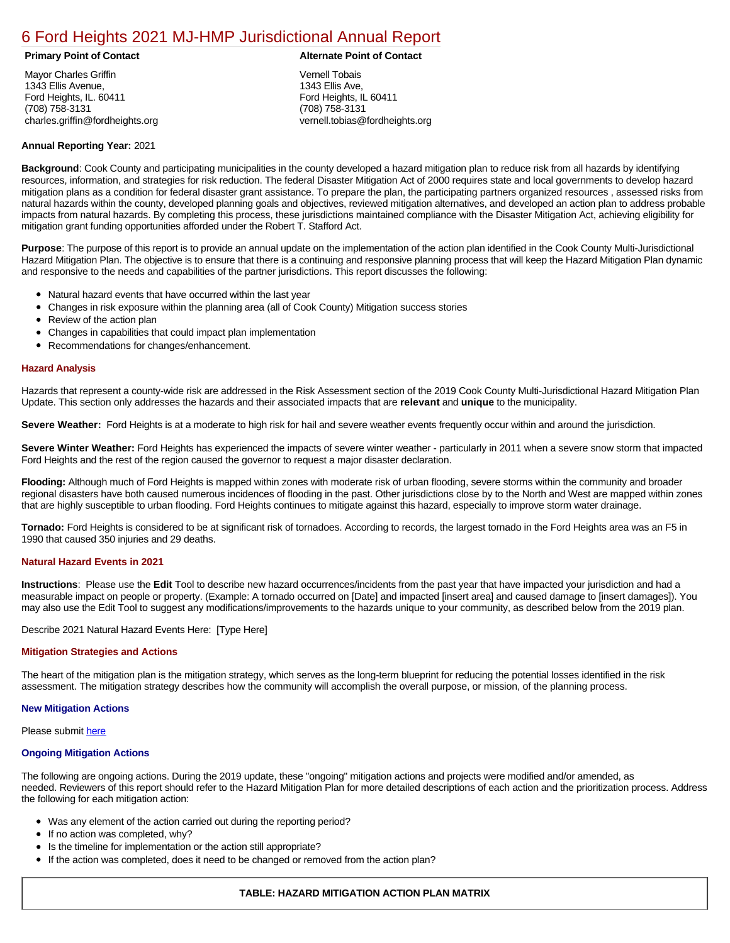# [6 Ford Heights 2021 MJ-HMP Jurisdictional Annual Report](https://fordheights.isc-cemp.com/Cemp/Details?id=8322831)

Mayor Charles Griffin 1343 Ellis Avenue, Ford Heights, IL. 60411 (708) 758-3131 charles.griffin@fordheights.org

## **Primary Point of Contact Alternate Point of Contact**

Vernell Tobais 1343 Ellis Ave, Ford Heights, IL 60411 (708) 758-3131 vernell.tobias@fordheights.org

# **Annual Reporting Year:** 2021

**Background**: Cook County and participating municipalities in the county developed a hazard mitigation plan to reduce risk from all hazards by identifying resources, information, and strategies for risk reduction. The federal Disaster Mitigation Act of 2000 requires state and local governments to develop hazard mitigation plans as a condition for federal disaster grant assistance. To prepare the plan, the participating partners organized resources , assessed risks from natural hazards within the county, developed planning goals and objectives, reviewed mitigation alternatives, and developed an action plan to address probable impacts from natural hazards. By completing this process, these jurisdictions maintained compliance with the Disaster Mitigation Act, achieving eligibility for mitigation grant funding opportunities afforded under the Robert T. Stafford Act.

**Purpose**: The purpose of this report is to provide an annual update on the implementation of the action plan identified in the Cook County Multi-Jurisdictional Hazard Mitigation Plan. The objective is to ensure that there is a continuing and responsive planning process that will keep the Hazard Mitigation Plan dynamic and responsive to the needs and capabilities of the partner jurisdictions. This report discusses the following:

- Natural hazard events that have occurred within the last year
- $\bullet$ Changes in risk exposure within the planning area (all of Cook County) Mitigation success stories
- Review of the action plan  $\bullet$
- $\bullet$ Changes in capabilities that could impact plan implementation
- Recommendations for changes/enhancement.  $\bullet$

# **Hazard Analysis**

Hazards that represent a county-wide risk are addressed in the Risk Assessment section of the 2019 Cook County Multi-Jurisdictional Hazard Mitigation Plan Update. This section only addresses the hazards and their associated impacts that are **relevant** and **unique** to the municipality.

**Severe Weather:** Ford Heights is at a moderate to high risk for hail and severe weather events frequently occur within and around the jurisdiction.

**Severe Winter Weather:** Ford Heights has experienced the impacts of severe winter weather - particularly in 2011 when a severe snow storm that impacted Ford Heights and the rest of the region caused the governor to request a major disaster declaration.

**Flooding:** Although much of Ford Heights is mapped within zones with moderate risk of urban flooding, severe storms within the community and broader regional disasters have both caused numerous incidences of flooding in the past. Other jurisdictions close by to the North and West are mapped within zones that are highly susceptible to urban flooding. Ford Heights continues to mitigate against this hazard, especially to improve storm water drainage.

**Tornado:** Ford Heights is considered to be at significant risk of tornadoes. According to records, the largest tornado in the Ford Heights area was an F5 in 1990 that caused 350 injuries and 29 deaths.

# **Natural Hazard Events in 2021**

**Instructions**: Please use the **Edit** Tool to describe new hazard occurrences/incidents from the past year that have impacted your jurisdiction and had a measurable impact on people or property. (Example: A tornado occurred on [Date] and impacted [insert area] and caused damage to [insert damages]). You may also use the Edit Tool to suggest any modifications/improvements to the hazards unique to your community, as described below from the 2019 plan.

Describe 2021 Natural Hazard Events Here: [Type Here]

### **Mitigation Strategies and Actions**

The heart of the mitigation plan is the mitigation strategy, which serves as the long-term blueprint for reducing the potential losses identified in the risk assessment. The mitigation strategy describes how the community will accomplish the overall purpose, or mission, of the planning process.

### **New Mitigation Actions**

Please submit [here](https://integratedsolutions.wufoo.com/forms/mg21jvf0jn639o/)

### **Ongoing Mitigation Actions**

The following are ongoing actions. During the 2019 update, these "ongoing" mitigation actions and projects were modified and/or amended, as needed. Reviewers of this report should refer to the Hazard Mitigation Plan for more detailed descriptions of each action and the prioritization process. Address the following for each mitigation action:

- Was any element of the action carried out during the reporting period?
- If no action was completed, why?
- Is the timeline for implementation or the action still appropriate?
- If the action was completed, does it need to be changed or removed from the action plan?

# **TABLE: HAZARD MITIGATION ACTION PLAN MATRIX**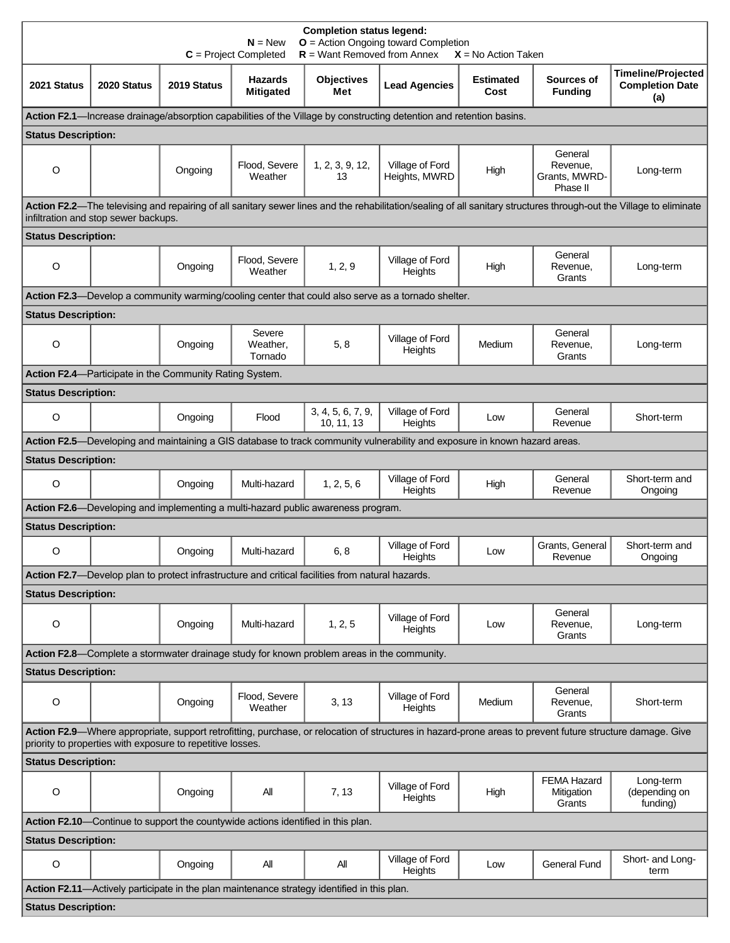| <b>Completion status legend:</b><br>$O =$ Action Ongoing toward Completion<br>$N = New$<br>$R =$ Want Removed from Annex<br>$C = Project Completed$<br>$X = No$ Action Taken                                            |             |                                                         |                                                                                  |                                                                                                  |                                                                                                                            |                          |                                                  |                                                            |  |  |  |
|-------------------------------------------------------------------------------------------------------------------------------------------------------------------------------------------------------------------------|-------------|---------------------------------------------------------|----------------------------------------------------------------------------------|--------------------------------------------------------------------------------------------------|----------------------------------------------------------------------------------------------------------------------------|--------------------------|--------------------------------------------------|------------------------------------------------------------|--|--|--|
| 2021 Status                                                                                                                                                                                                             | 2020 Status | 2019 Status                                             | <b>Hazards</b><br><b>Mitigated</b>                                               | <b>Objectives</b><br>Met                                                                         | <b>Lead Agencies</b>                                                                                                       | <b>Estimated</b><br>Cost | Sources of<br><b>Funding</b>                     | <b>Timeline/Projected</b><br><b>Completion Date</b><br>(a) |  |  |  |
| Action F2.1—Increase drainage/absorption capabilities of the Village by constructing detention and retention basins.                                                                                                    |             |                                                         |                                                                                  |                                                                                                  |                                                                                                                            |                          |                                                  |                                                            |  |  |  |
| <b>Status Description:</b>                                                                                                                                                                                              |             |                                                         |                                                                                  |                                                                                                  |                                                                                                                            |                          |                                                  |                                                            |  |  |  |
| O                                                                                                                                                                                                                       |             | Ongoing                                                 | Flood, Severe<br>Weather                                                         | 1, 2, 3, 9, 12,<br>13                                                                            | Village of Ford<br>Heights, MWRD                                                                                           | High                     | General<br>Revenue,<br>Grants, MWRD-<br>Phase II | Long-term                                                  |  |  |  |
| Action F2.2-The televising and repairing of all sanitary sewer lines and the rehabilitation/sealing of all sanitary structures through-out the Village to eliminate<br>infiltration and stop sewer backups.             |             |                                                         |                                                                                  |                                                                                                  |                                                                                                                            |                          |                                                  |                                                            |  |  |  |
| <b>Status Description:</b>                                                                                                                                                                                              |             |                                                         |                                                                                  |                                                                                                  |                                                                                                                            |                          |                                                  |                                                            |  |  |  |
| O                                                                                                                                                                                                                       |             | Ongoing                                                 | Flood, Severe<br>Weather                                                         | 1, 2, 9                                                                                          | Village of Ford<br>Heights                                                                                                 | High                     | General<br>Revenue,<br>Grants                    | Long-term                                                  |  |  |  |
|                                                                                                                                                                                                                         |             |                                                         |                                                                                  |                                                                                                  | Action F2.3-Develop a community warming/cooling center that could also serve as a tornado shelter.                         |                          |                                                  |                                                            |  |  |  |
| <b>Status Description:</b>                                                                                                                                                                                              |             |                                                         |                                                                                  |                                                                                                  |                                                                                                                            |                          |                                                  |                                                            |  |  |  |
| O                                                                                                                                                                                                                       |             | Ongoing                                                 | Severe<br>Weather,<br>Tornado                                                    | 5, 8                                                                                             | Village of Ford<br>Heights                                                                                                 | Medium                   | General<br>Revenue,<br>Grants                    | Long-term                                                  |  |  |  |
|                                                                                                                                                                                                                         |             | Action F2.4—Participate in the Community Rating System. |                                                                                  |                                                                                                  |                                                                                                                            |                          |                                                  |                                                            |  |  |  |
| <b>Status Description:</b>                                                                                                                                                                                              |             |                                                         |                                                                                  |                                                                                                  |                                                                                                                            |                          |                                                  |                                                            |  |  |  |
| $\circ$                                                                                                                                                                                                                 |             | Ongoing                                                 | Flood                                                                            | 3, 4, 5, 6, 7, 9,<br>10, 11, 13                                                                  | Village of Ford<br>Heights                                                                                                 | Low                      | General<br>Revenue                               | Short-term                                                 |  |  |  |
|                                                                                                                                                                                                                         |             |                                                         |                                                                                  |                                                                                                  | Action F2.5-Developing and maintaining a GIS database to track community vulnerability and exposure in known hazard areas. |                          |                                                  |                                                            |  |  |  |
| <b>Status Description:</b>                                                                                                                                                                                              |             |                                                         |                                                                                  |                                                                                                  |                                                                                                                            |                          |                                                  |                                                            |  |  |  |
| O                                                                                                                                                                                                                       |             | Ongoing                                                 | Multi-hazard                                                                     | 1, 2, 5, 6                                                                                       | Village of Ford<br>Heights                                                                                                 | High                     | General<br>Revenue                               | Short-term and<br>Ongoing                                  |  |  |  |
|                                                                                                                                                                                                                         |             |                                                         |                                                                                  | Action F2.6-Developing and implementing a multi-hazard public awareness program.                 |                                                                                                                            |                          |                                                  |                                                            |  |  |  |
| <b>Status Description:</b>                                                                                                                                                                                              |             |                                                         |                                                                                  |                                                                                                  |                                                                                                                            |                          |                                                  |                                                            |  |  |  |
| O                                                                                                                                                                                                                       |             | Ongoing                                                 | Multi-hazard                                                                     | 6, 8                                                                                             | Village of Ford<br>Heights                                                                                                 | Low                      | Grants, General<br>Revenue                       | Short-term and<br>Ongoing                                  |  |  |  |
|                                                                                                                                                                                                                         |             |                                                         |                                                                                  | Action F2.7—Develop plan to protect infrastructure and critical facilities from natural hazards. |                                                                                                                            |                          |                                                  |                                                            |  |  |  |
| <b>Status Description:</b>                                                                                                                                                                                              |             |                                                         |                                                                                  |                                                                                                  |                                                                                                                            |                          |                                                  |                                                            |  |  |  |
| O                                                                                                                                                                                                                       |             | Ongoing                                                 | Multi-hazard                                                                     | 1, 2, 5                                                                                          | Village of Ford<br>Heights                                                                                                 | Low                      | General<br>Revenue,<br>Grants                    | Long-term                                                  |  |  |  |
|                                                                                                                                                                                                                         |             |                                                         |                                                                                  | Action F2.8—Complete a stormwater drainage study for known problem areas in the community.       |                                                                                                                            |                          |                                                  |                                                            |  |  |  |
| <b>Status Description:</b>                                                                                                                                                                                              |             |                                                         |                                                                                  |                                                                                                  |                                                                                                                            |                          |                                                  |                                                            |  |  |  |
| O                                                                                                                                                                                                                       |             | Ongoing                                                 | Flood, Severe<br>Weather                                                         | 3, 13                                                                                            | Village of Ford<br>Heights                                                                                                 | Medium                   | General<br>Revenue,<br>Grants                    | Short-term                                                 |  |  |  |
| Action F2.9-Where appropriate, support retrofitting, purchase, or relocation of structures in hazard-prone areas to prevent future structure damage. Give<br>priority to properties with exposure to repetitive losses. |             |                                                         |                                                                                  |                                                                                                  |                                                                                                                            |                          |                                                  |                                                            |  |  |  |
| <b>Status Description:</b>                                                                                                                                                                                              |             |                                                         |                                                                                  |                                                                                                  |                                                                                                                            |                          |                                                  |                                                            |  |  |  |
| O                                                                                                                                                                                                                       |             | Ongoing                                                 | All                                                                              | 7, 13                                                                                            | Village of Ford<br>Heights                                                                                                 | High                     | <b>FEMA Hazard</b><br>Mitigation<br>Grants       | Long-term<br>(depending on<br>funding)                     |  |  |  |
|                                                                                                                                                                                                                         |             |                                                         | Action F2.10—Continue to support the countywide actions identified in this plan. |                                                                                                  |                                                                                                                            |                          |                                                  |                                                            |  |  |  |
| <b>Status Description:</b>                                                                                                                                                                                              |             |                                                         |                                                                                  |                                                                                                  |                                                                                                                            |                          |                                                  |                                                            |  |  |  |
| O                                                                                                                                                                                                                       |             | Ongoing                                                 | All                                                                              | All                                                                                              | Village of Ford<br>Heights                                                                                                 | Low                      | <b>General Fund</b>                              | Short- and Long-<br>term                                   |  |  |  |
|                                                                                                                                                                                                                         |             |                                                         |                                                                                  | Action F2.11-Actively participate in the plan maintenance strategy identified in this plan.      |                                                                                                                            |                          |                                                  |                                                            |  |  |  |
| <b>Status Description:</b>                                                                                                                                                                                              |             |                                                         |                                                                                  |                                                                                                  |                                                                                                                            |                          |                                                  |                                                            |  |  |  |